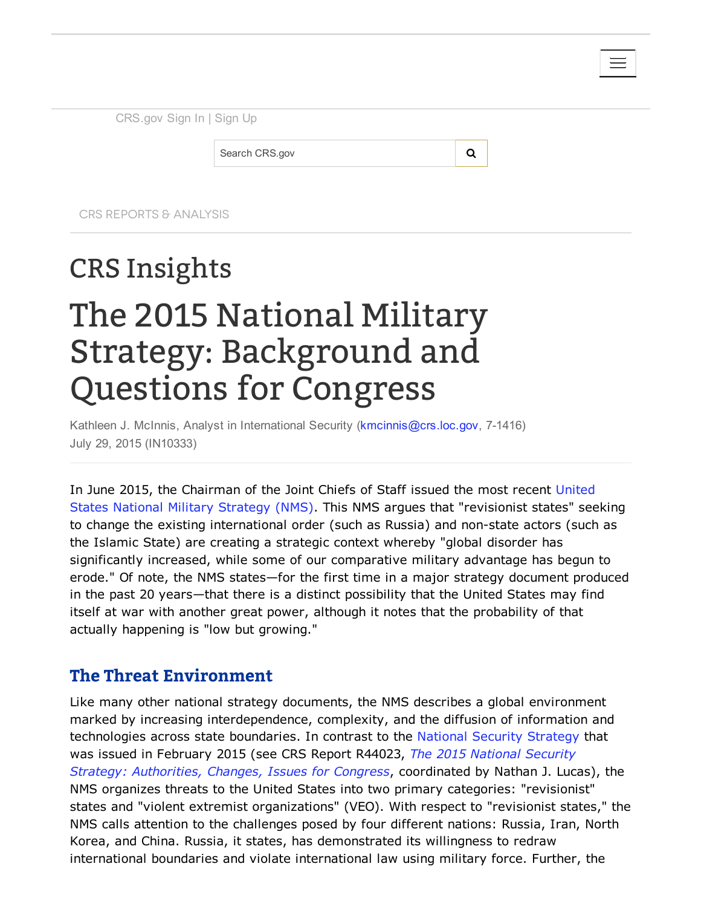| CRS.gov Sign In   Sign Up |   |
|---------------------------|---|
| Search CRS.gov            | Q |

CRS REPORTS & ANALYSIS

# CRS Insights The 2015 National Military Strategy: Background and Questions for Congress

Kathleen J. McInnis, Analyst in International Security [\(kmcinnis@crs.loc.gov](mailto:kmcinnis@crs.loc.gov), 71416) July 29, 2015 (IN10333)

In June 2015, the Chairman of the Joint Chiefs of Staff issued the most recent United States National Military Strategy (NMS). This NMS argues that ["revisionist](http://www.jcs.mil/Portals/36/Documents/Publications/2015_National_Military_Strategy.pdf) states" seeking to change the existing international order (such as Russia) and non-state actors (such as the Islamic State) are creating a strategic context whereby "global disorder has significantly increased, while some of our comparative military advantage has begun to erode." Of note, the NMS states—for the first time in a major strategy document produced in the past 20 years—that there is a distinct possibility that the United States may find itself at war with another great power, although it notes that the probability of that actually happening is "low but growing."

#### The Threat Environment

Like many other national strategy documents, the NMS describes a global environment marked by increasing interdependence, complexity, and the diffusion of information and technologies across state boundaries. In contrast to the National Security [Strategy](https://www.whitehouse.gov/sites/default/files/docs/2015_national_security_strategy.pdf) that was issued in February 2015 (see CRS Report R44023, *The 2015 National Security Strategy: Authorities, Changes, Issues for Congress*, [coordinated](http://www.crs.gov/pages/Reports.aspx?PRODCODE=R44023) by Nathan J. Lucas), the NMS organizes threats to the United States into two primary categories: "revisionist" states and "violent extremist organizations" (VEO). With respect to "revisionist states," the NMS calls attention to the challenges posed by four different nations: Russia, Iran, North Korea, and China. Russia, it states, has demonstrated its willingness to redraw international boundaries and violate international law using military force. Further, the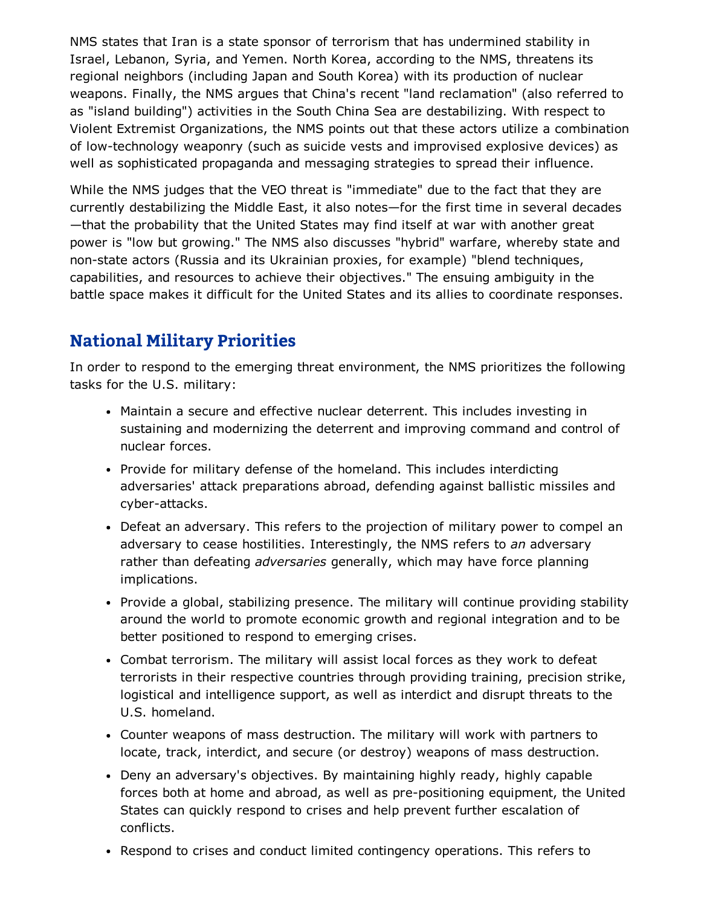NMS states that Iran is a state sponsor of terrorism that has undermined stability in Israel, Lebanon, Syria, and Yemen. North Korea, according to the NMS, threatens its regional neighbors (including Japan and South Korea) with its production of nuclear weapons. Finally, the NMS argues that China's recent "land reclamation" (also referred to as "island building") activities in the South China Sea are destabilizing. With respect to Violent Extremist Organizations, the NMS points out that these actors utilize a combination of lowtechnology weaponry (such as suicide vests and improvised explosive devices) as well as sophisticated propaganda and messaging strategies to spread their influence.

While the NMS judges that the VEO threat is "immediate" due to the fact that they are currently destabilizing the Middle East, it also notes—for the first time in several decades —that the probability that the United States may find itself at war with another great power is "low but growing." The NMS also discusses "hybrid" warfare, whereby state and non-state actors (Russia and its Ukrainian proxies, for example) "blend techniques, capabilities, and resources to achieve their objectives." The ensuing ambiguity in the battle space makes it difficult for the United States and its allies to coordinate responses.

## National Military Priorities

In order to respond to the emerging threat environment, the NMS prioritizes the following tasks for the U.S. military:

- Maintain a secure and effective nuclear deterrent. This includes investing in sustaining and modernizing the deterrent and improving command and control of nuclear forces.
- Provide for military defense of the homeland. This includes interdicting adversaries' attack preparations abroad, defending against ballistic missiles and cyber-attacks.
- Defeat an adversary. This refers to the projection of military power to compel an adversary to cease hostilities. Interestingly, the NMS refers to *an* adversary rather than defeating *adversaries* generally, which may have force planning implications.
- Provide a global, stabilizing presence. The military will continue providing stability around the world to promote economic growth and regional integration and to be better positioned to respond to emerging crises.
- Combat terrorism. The military will assist local forces as they work to defeat terrorists in their respective countries through providing training, precision strike, logistical and intelligence support, as well as interdict and disrupt threats to the U.S. homeland.
- Counter weapons of mass destruction. The military will work with partners to locate, track, interdict, and secure (or destroy) weapons of mass destruction.
- Deny an adversary's objectives. By maintaining highly ready, highly capable forces both at home and abroad, as well as pre-positioning equipment, the United States can quickly respond to crises and help prevent further escalation of conflicts.
- Respond to crises and conduct limited contingency operations. This refers to